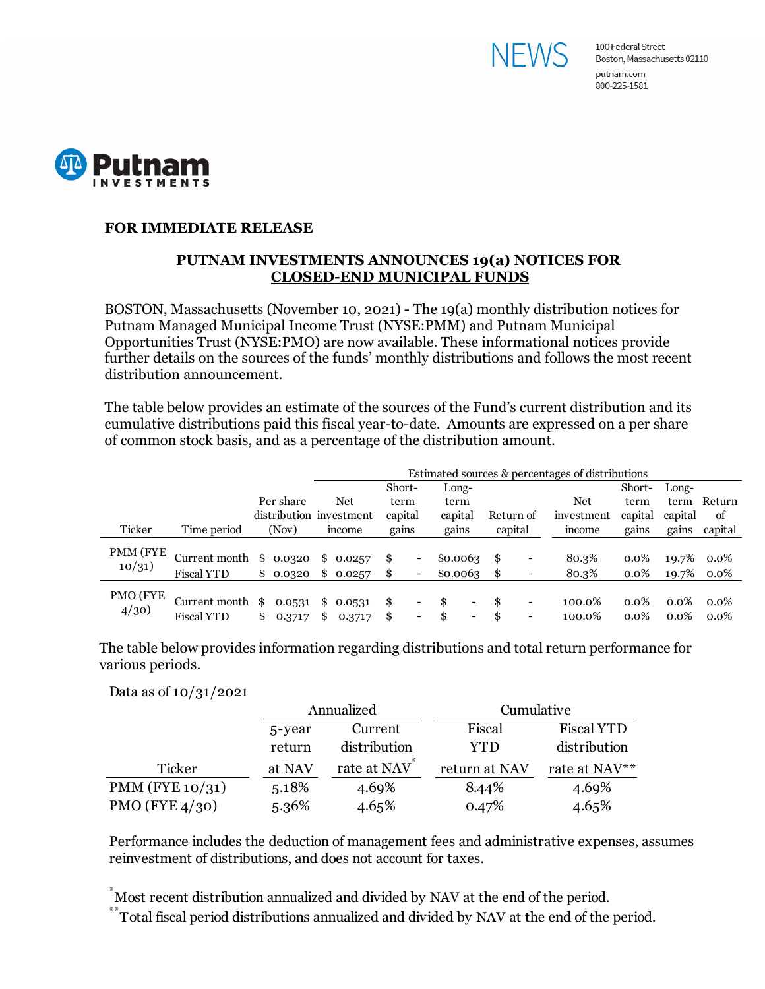



## **FOR IMMEDIATE RELEASE**

## **PUTNAM INVESTMENTS ANNOUNCES 19(a) NOTICES FOR CLOSED-END MUNICIPAL FUNDS**

BOSTON, Massachusetts (November 10, 2021) - The 19(a) monthly distribution notices for Putnam Managed Municipal Income Trust (NYSE:PMM) and Putnam Municipal Opportunities Trust (NYSE:PMO) are now available. These informational notices provide further details on the sources of the funds' monthly distributions and follows the most recent distribution announcement.

The table below provides an estimate of the sources of the Fund's current distribution and its cumulative distributions paid this fiscal year-to-date. Amounts are expressed on a per share of common stock basis, and as a percentage of the distribution amount.

|          |                         |                         | Estimated sources & percentages of distributions |          |         |                          |          |   |     |           |            |         |         |         |
|----------|-------------------------|-------------------------|--------------------------------------------------|----------|---------|--------------------------|----------|---|-----|-----------|------------|---------|---------|---------|
|          |                         |                         |                                                  |          | Short-  |                          | Long-    |   |     |           |            | Short-  | Long-   |         |
|          |                         | Per share               |                                                  | Net      | term    |                          | term     |   |     |           | Net        | term    | term    | Return  |
|          |                         | distribution investment |                                                  |          | capital |                          | capital  |   |     | Return of | investment | capital | capital | of      |
| Ticker   | Time period             | (Nov)                   |                                                  | income   | gains   |                          | gains    |   |     | capital   | income     | gains   | gains   | capital |
| PMM (FYE |                         |                         |                                                  |          |         |                          |          |   |     |           |            |         |         |         |
|          | Current month $$0.0320$ |                         | \$                                               | 0.0257   | \$      |                          | \$0.0063 |   | \$  |           | 80.3%      | $0.0\%$ | 19.7%   | $0.0\%$ |
| 10/31)   | <b>Fiscal YTD</b>       | \$0.0320                |                                                  | \$0.0257 | \$      | -                        | \$0.0063 |   | -\$ |           | 80.3%      | $0.0\%$ | 19.7%   | $0.0\%$ |
| PMO (FYE |                         |                         |                                                  |          |         |                          |          |   |     |           |            |         |         |         |
| 4/30     | Current month \$        | 0.0531                  | \$                                               | 0.0531   | \$      | -                        | \$.      | - | \$. | -         | 100.0%     | $0.0\%$ | $0.0\%$ | $0.0\%$ |
|          | <b>Fiscal YTD</b>       | \$<br>0.3717            | \$                                               | 0.3717   | \$      | $\overline{\phantom{a}}$ | \$       | - |     |           | 100.0%     | $0.0\%$ | $0.0\%$ | $0.0\%$ |

The table below provides information regarding distributions and total return performance for various periods.

Data as of 10/31/2021

|                    |        | Annualized   | Cumulative    |                   |  |  |
|--------------------|--------|--------------|---------------|-------------------|--|--|
|                    | 5-year | Current      | Fiscal        | <b>Fiscal YTD</b> |  |  |
|                    | return | distribution | <b>YTD</b>    | distribution      |  |  |
| Ticker             | at NAV | rate at NAV  | return at NAV | rate at NAV**     |  |  |
| PMM (FYE $10/31$ ) | 5.18%  | 4.69%        | 8.44%         | 4.69%             |  |  |
| PMO (FYE $4/30$ )  | 5.36%  | 4.65%        | 0.47%         | 4.65%             |  |  |

Performance includes the deduction of management fees and administrative expenses, assumes reinvestment of distributions, and does not account for taxes.

\* Most recent distribution annualized and divided by NAV at the end of the period.

Total fiscal period distributions annualized and divided by NAV at the end of the period.